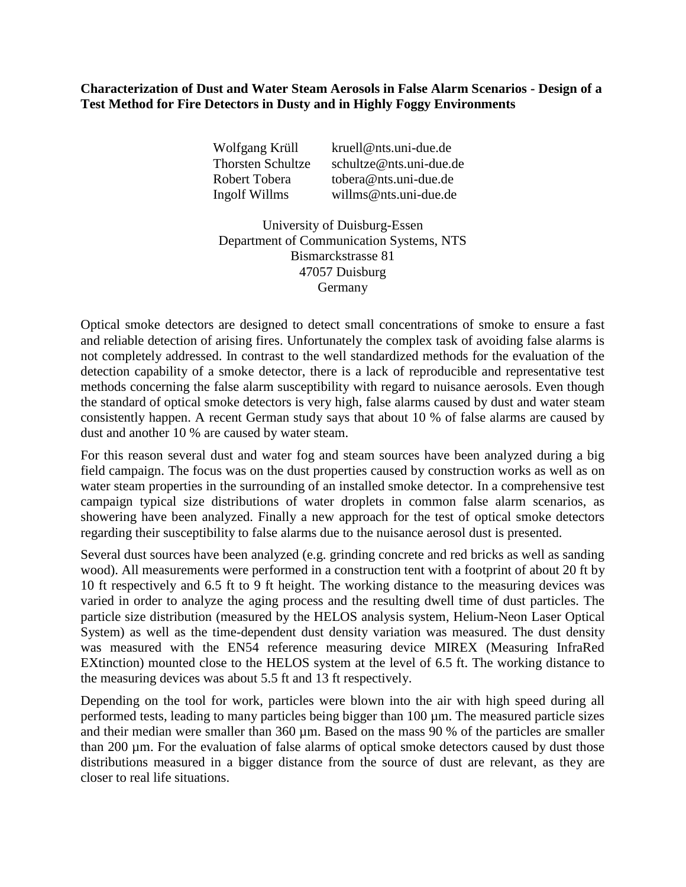## **Characterization of Dust and Water Steam Aerosols in False Alarm Scenarios - Design of a Test Method for Fire Detectors in Dusty and in Highly Foggy Environments**

| Wolfgang Krüll           | kruell@nts.uni-due.de   |
|--------------------------|-------------------------|
| <b>Thorsten Schultze</b> | schultze@nts.uni-due.de |
| Robert Tobera            | tobera@nts.uni-due.de   |
| Ingolf Willms            | willms@nts.uni-due.de   |

University of Duisburg-Essen Department of Communication Systems, NTS Bismarckstrasse 81 47057 Duisburg Germany

Optical smoke detectors are designed to detect small concentrations of smoke to ensure a fast and reliable detection of arising fires. Unfortunately the complex task of avoiding false alarms is not completely addressed. In contrast to the well standardized methods for the evaluation of the detection capability of a smoke detector, there is a lack of reproducible and representative test methods concerning the false alarm susceptibility with regard to nuisance aerosols. Even though the standard of optical smoke detectors is very high, false alarms caused by dust and water steam consistently happen. A recent German study says that about 10 % of false alarms are caused by dust and another 10 % are caused by water steam.

For this reason several dust and water fog and steam sources have been analyzed during a big field campaign. The focus was on the dust properties caused by construction works as well as on water steam properties in the surrounding of an installed smoke detector. In a comprehensive test campaign typical size distributions of water droplets in common false alarm scenarios, as showering have been analyzed. Finally a new approach for the test of optical smoke detectors regarding their susceptibility to false alarms due to the nuisance aerosol dust is presented.

Several dust sources have been analyzed (e.g. grinding concrete and red bricks as well as sanding wood). All measurements were performed in a construction tent with a footprint of about 20 ft by 10 ft respectively and 6.5 ft to 9 ft height. The working distance to the measuring devices was varied in order to analyze the aging process and the resulting dwell time of dust particles. The particle size distribution (measured by the HELOS analysis system, Helium-Neon Laser Optical System) as well as the time-dependent dust density variation was measured. The dust density was measured with the EN54 reference measuring device MIREX (Measuring InfraRed EXtinction) mounted close to the HELOS system at the level of 6.5 ft. The working distance to the measuring devices was about 5.5 ft and 13 ft respectively.

Depending on the tool for work, particles were blown into the air with high speed during all performed tests, leading to many particles being bigger than 100 µm. The measured particle sizes and their median were smaller than 360 µm. Based on the mass 90 % of the particles are smaller than 200 um. For the evaluation of false alarms of optical smoke detectors caused by dust those distributions measured in a bigger distance from the source of dust are relevant, as they are closer to real life situations.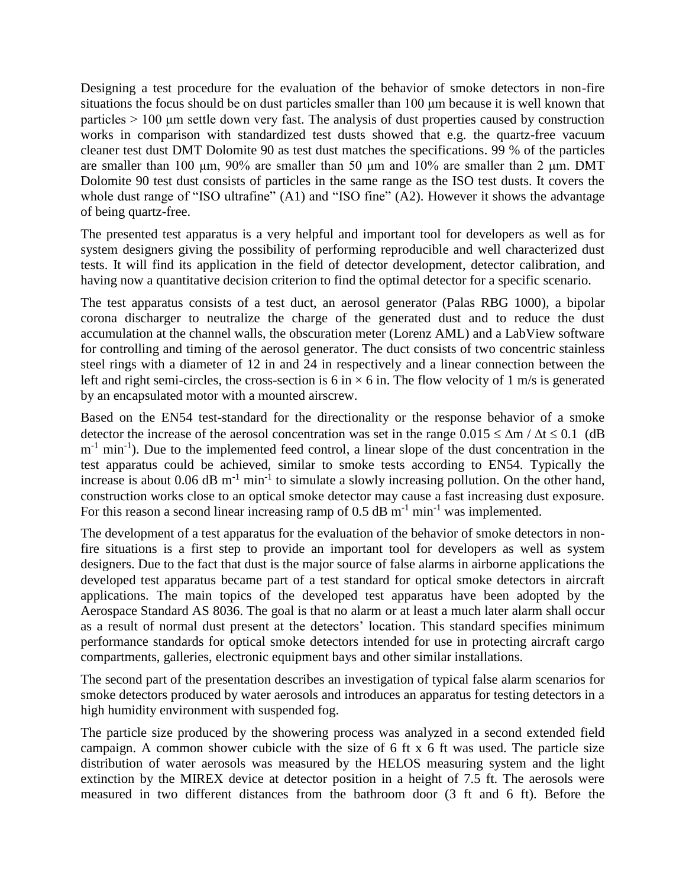Designing a test procedure for the evaluation of the behavior of smoke detectors in non-fire situations the focus should be on dust particles smaller than 100 μm because it is well known that particles > 100 μm settle down very fast. The analysis of dust properties caused by construction works in comparison with standardized test dusts showed that e.g. the quartz-free vacuum cleaner test dust DMT Dolomite 90 as test dust matches the specifications. 99 % of the particles are smaller than 100 μm, 90% are smaller than 50 μm and 10% are smaller than 2 μm. DMT Dolomite 90 test dust consists of particles in the same range as the ISO test dusts. It covers the whole dust range of "ISO ultrafine" (A1) and "ISO fine" (A2). However it shows the advantage of being quartz-free.

The presented test apparatus is a very helpful and important tool for developers as well as for system designers giving the possibility of performing reproducible and well characterized dust tests. It will find its application in the field of detector development, detector calibration, and having now a quantitative decision criterion to find the optimal detector for a specific scenario.

The test apparatus consists of a test duct, an aerosol generator (Palas RBG 1000), a bipolar corona discharger to neutralize the charge of the generated dust and to reduce the dust accumulation at the channel walls, the obscuration meter (Lorenz AML) and a LabView software for controlling and timing of the aerosol generator. The duct consists of two concentric stainless steel rings with a diameter of 12 in and 24 in respectively and a linear connection between the left and right semi-circles, the cross-section is 6 in  $\times$  6 in. The flow velocity of 1 m/s is generated by an encapsulated motor with a mounted airscrew.

Based on the EN54 test-standard for the directionality or the response behavior of a smoke detector the increase of the aerosol concentration was set in the range  $0.015 \le \Delta m / \Delta t \le 0.1$  (dB  $m^{-1}$  min<sup>-1</sup>). Due to the implemented feed control, a linear slope of the dust concentration in the test apparatus could be achieved, similar to smoke tests according to EN54. Typically the increase is about 0.06  $\text{dB m}^{-1}$  min<sup>-1</sup> to simulate a slowly increasing pollution. On the other hand, construction works close to an optical smoke detector may cause a fast increasing dust exposure. For this reason a second linear increasing ramp of  $0.5$  dB m<sup>-1</sup> min<sup>-1</sup> was implemented.

The development of a test apparatus for the evaluation of the behavior of smoke detectors in nonfire situations is a first step to provide an important tool for developers as well as system designers. Due to the fact that dust is the major source of false alarms in airborne applications the developed test apparatus became part of a test standard for optical smoke detectors in aircraft applications. The main topics of the developed test apparatus have been adopted by the Aerospace Standard AS 8036. The goal is that no alarm or at least a much later alarm shall occur as a result of normal dust present at the detectors' location. This standard specifies minimum performance standards for optical smoke detectors intended for use in protecting aircraft cargo compartments, galleries, electronic equipment bays and other similar installations.

The second part of the presentation describes an investigation of typical false alarm scenarios for smoke detectors produced by water aerosols and introduces an apparatus for testing detectors in a high humidity environment with suspended fog.

The particle size produced by the showering process was analyzed in a second extended field campaign. A common shower cubicle with the size of 6 ft x 6 ft was used. The particle size distribution of water aerosols was measured by the HELOS measuring system and the light extinction by the MIREX device at detector position in a height of 7.5 ft. The aerosols were measured in two different distances from the bathroom door (3 ft and 6 ft). Before the